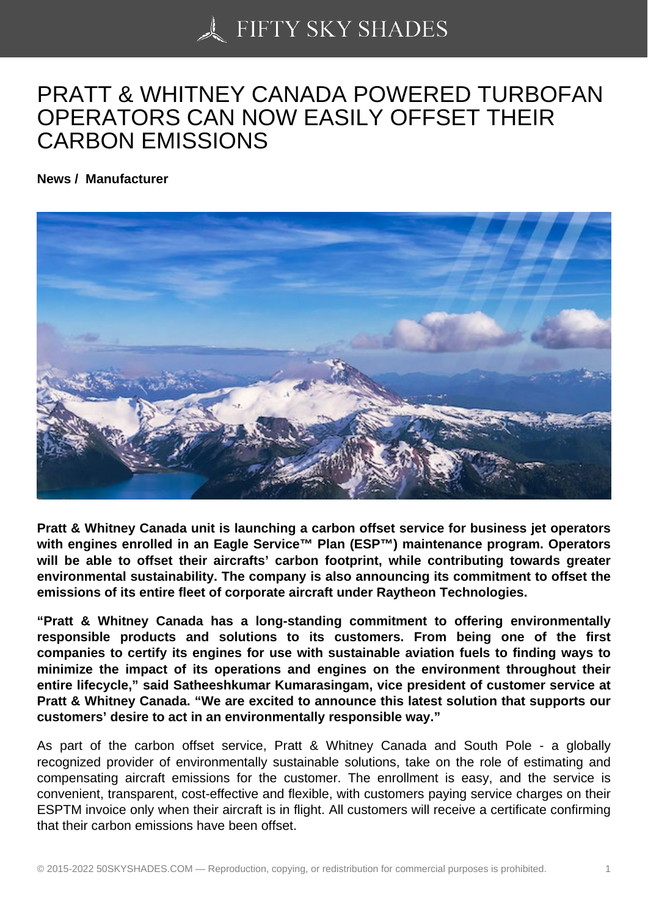## [PRATT & WHITNEY C](https://50skyshades.com)ANADA POWERED TURBOFAN OPERATORS CAN NOW EASILY OFFSET THEIR CARBON EMISSIONS

News / Manufacturer

Pratt & Whitney Canada unit is launching a carbon offset service for business jet operators with engines enrolled in an Eagle Service™ Plan (ESP™) maintenance program. Operators will be able to offset their aircrafts' carbon footprint, while contributing towards greater environmental sustainability. The company is also announcing its commitment to offset the emissions of its entire fleet of corporate aircraft under Raytheon Technologies.

"Pratt & Whitney Canada has a long-standing commitment to offering environmentally responsible products and solutions to its customers. From being one of the first companies to certify its engines for use with sustainable aviation fuels to finding ways to minimize the impact of its operations and engines on the environment throughout their entire lifecycle," said Satheeshkumar Kumarasingam, vice president of customer service at Pratt & Whitney Canada. "We are excited to announce this latest solution that supports our customers' desire to act in an environmentally responsible way."

As part of the carbon offset service, Pratt & Whitney Canada and South Pole - a globally recognized provider of environmentally sustainable solutions, take on the role of estimating and compensating aircraft emissions for the customer. The enrollment is easy, and the service is convenient, transparent, cost-effective and flexible, with customers paying service charges on their ESPTM invoice only when their aircraft is in flight. All customers will receive a certificate confirming that their carbon emissions have been offset.